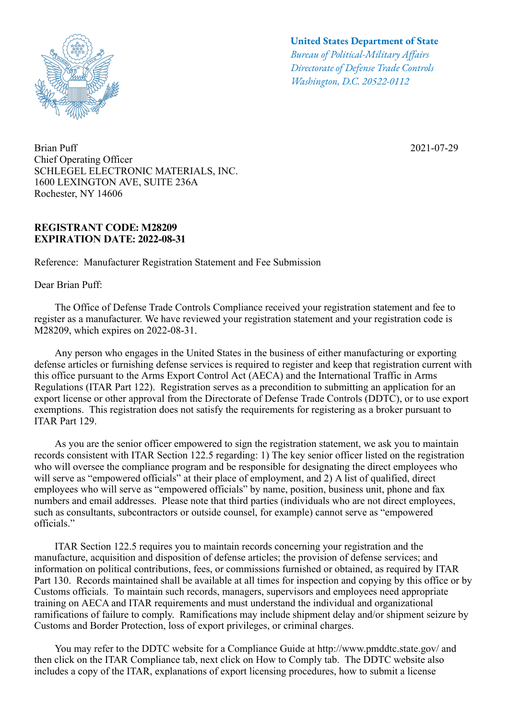

Brian Puff Chief Operating Officer SCHLEGEL ELECTRONIC MATERIALS, INC. 1600 LEXINGTON AVE, SUITE 236A Rochester, NY 14606

## **REGISTRANT CODE: M28209 EXPIRATION DATE: 2022-08-31**

Reference: Manufacturer Registration Statement and Fee Submission

Dear Brian Puff:

## **United States Department of State**

*Bureau of Political-Military Afairs Directorate of Defense Trade Controls Washington, D.C. 20522-0112*

2021-07-29

 The Office of Defense Trade Controls Compliance received your registration statement and fee to register as a manufacturer. We have reviewed your registration statement and your registration code is M28209, which expires on 2022-08-31.

 Any person who engages in the United States in the business of either manufacturing or exporting defense articles or furnishing defense services is required to register and keep that registration current with this office pursuant to the Arms Export Control Act (AECA) and the International Traffic in Arms Regulations (ITAR Part 122). Registration serves as a precondition to submitting an application for an export license or other approval from the Directorate of Defense Trade Controls (DDTC), or to use export exemptions. This registration does not satisfy the requirements for registering as a broker pursuant to ITAR Part 129.

 As you are the senior officer empowered to sign the registration statement, we ask you to maintain records consistent with ITAR Section 122.5 regarding: 1) The key senior officer listed on the registration who will oversee the compliance program and be responsible for designating the direct employees who will serve as "empowered officials" at their place of employment, and 2) A list of qualified, direct employees who will serve as "empowered officials" by name, position, business unit, phone and fax numbers and email addresses. Please note that third parties (individuals who are not direct employees, such as consultants, subcontractors or outside counsel, for example) cannot serve as "empowered officials."

 ITAR Section 122.5 requires you to maintain records concerning your registration and the manufacture, acquisition and disposition of defense articles; the provision of defense services; and information on political contributions, fees, or commissions furnished or obtained, as required by ITAR Part 130. Records maintained shall be available at all times for inspection and copying by this office or by Customs officials. To maintain such records, managers, supervisors and employees need appropriate training on AECA and ITAR requirements and must understand the individual and organizational ramifications of failure to comply. Ramifications may include shipment delay and/or shipment seizure by Customs and Border Protection, loss of export privileges, or criminal charges.

 You may refer to the DDTC website for a Compliance Guide at http://www.pmddtc.state.gov/ and then click on the ITAR Compliance tab, next click on How to Comply tab. The DDTC website also includes a copy of the ITAR, explanations of export licensing procedures, how to submit a license